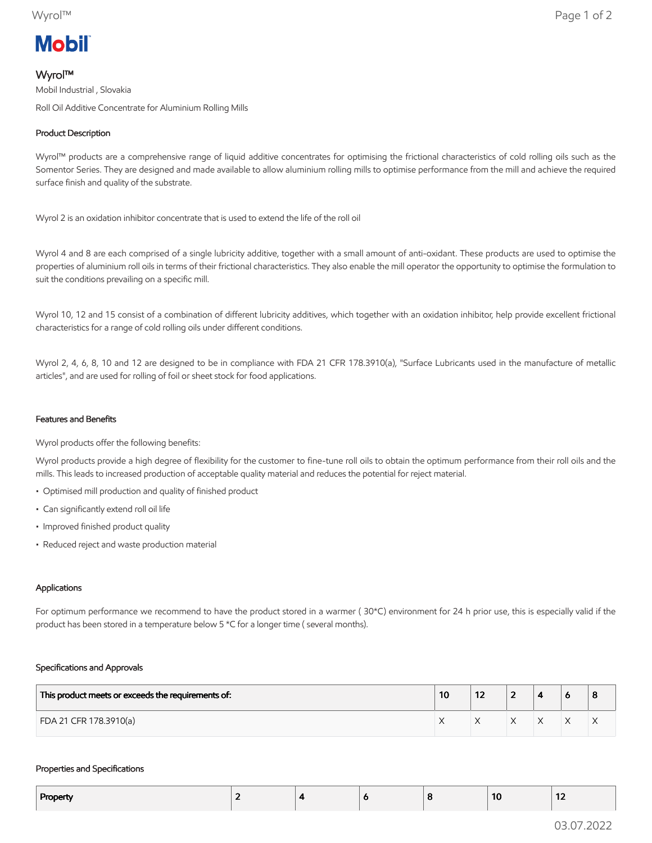# **Mobil**

## Wyrol™

Mobil Industrial , Slovakia Roll Oil Additive Concentrate for Aluminium Rolling Mills

## Product Description

Wyrol™ products are a comprehensive range of liquid additive concentrates for optimising the frictional characteristics of cold rolling oils such as the Somentor Series. They are designed and made available to allow aluminium rolling mills to optimise performance from the mill and achieve the required surface finish and quality of the substrate.

Wyrol 2 is an oxidation inhibitor concentrate that is used to extend the life of the roll oil

Wyrol 4 and 8 are each comprised of a single lubricity additive, together with a small amount of anti-oxidant. These products are used to optimise the properties of aluminium roll oils in terms of their frictional characteristics. They also enable the mill operator the opportunity to optimise the formulation to suit the conditions prevailing on a specific mill.

Wyrol 10, 12 and 15 consist of a combination of different lubricity additives, which together with an oxidation inhibitor, help provide excellent frictional characteristics for a range of cold rolling oils under different conditions.

Wyrol 2, 4, 6, 8, 10 and 12 are designed to be in compliance with FDA 21 CFR 178.3910(a), "Surface Lubricants used in the manufacture of metallic articles", and are used for rolling of foil or sheet stock for food applications.

### Features and Benefits

Wyrol products offer the following benefits:

Wyrol products provide a high degree of flexibility for the customer to fine-tune roll oils to obtain the optimum performance from their roll oils and the mills. This leads to increased production of acceptable quality material and reduces the potential for reject material.

- Optimised mill production and quality of finished product
- Can significantly extend roll oil life
- Improved finished product quality
- Reduced reject and waste production material

#### Applications

For optimum performance we recommend to have the product stored in a warmer ( 30\*C) environment for 24 h prior use, this is especially valid if the product has been stored in a temperature below 5 \*C for a longer time ( several months).

#### Specifications and Approvals

| This product meets or exceeds the requirements of: | 10 | 14 | - |  | 8 |
|----------------------------------------------------|----|----|---|--|---|
| FDA 21 CFR 178.3910(a)                             |    |    |   |  | ∧ |

#### Properties and Specifications

| Property |  | o | 10 | .<br>$\overline{\phantom{a}}$ |
|----------|--|---|----|-------------------------------|
|          |  |   |    |                               |